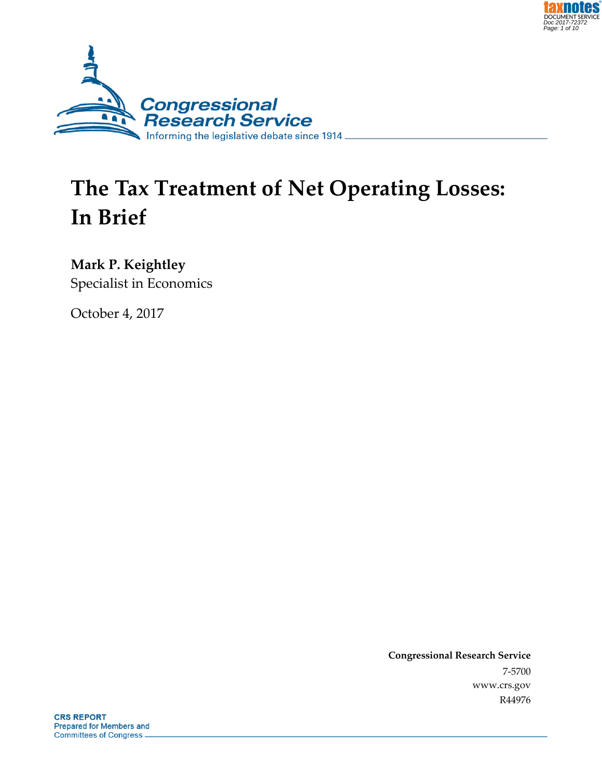



# **The Tax Treatment of Net Operating Losses: In Brief**

**Mark P. Keightley** Specialist in Economics

October 4, 2017

**Congressional Research Service** 7-5700 www.crs.gov R44976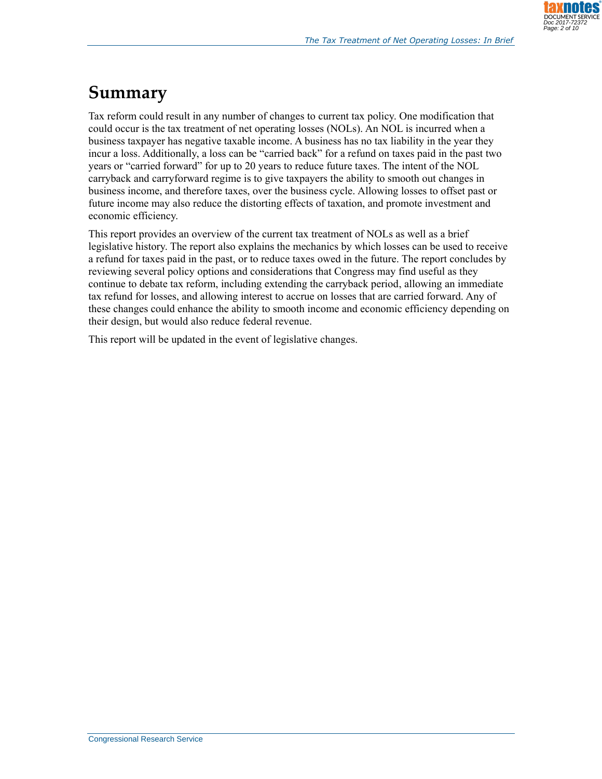## **Summary**

Tax reform could result in any number of changes to current tax policy. One modification that could occur is the tax treatment of net operating losses (NOLs). An NOL is incurred when a business taxpayer has negative taxable income. A business has no tax liability in the year they incur a loss. Additionally, a loss can be "carried back" for a refund on taxes paid in the past two years or "carried forward" for up to 20 years to reduce future taxes. The intent of the NOL carryback and carryforward regime is to give taxpayers the ability to smooth out changes in business income, and therefore taxes, over the business cycle. Allowing losses to offset past or future income may also reduce the distorting effects of taxation, and promote investment and economic efficiency.

This report provides an overview of the current tax treatment of NOLs as well as a brief legislative history. The report also explains the mechanics by which losses can be used to receive a refund for taxes paid in the past, or to reduce taxes owed in the future. The report concludes by reviewing several policy options and considerations that Congress may find useful as they continue to debate tax reform, including extending the carryback period, allowing an immediate tax refund for losses, and allowing interest to accrue on losses that are carried forward. Any of these changes could enhance the ability to smooth income and economic efficiency depending on their design, but would also reduce federal revenue.

This report will be updated in the event of legislative changes.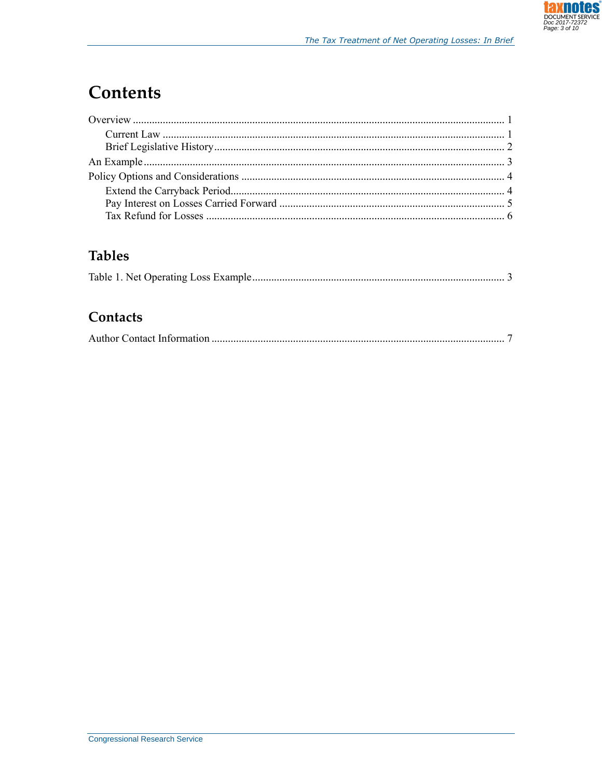## **Contents**

## **Tables**

#### Contacts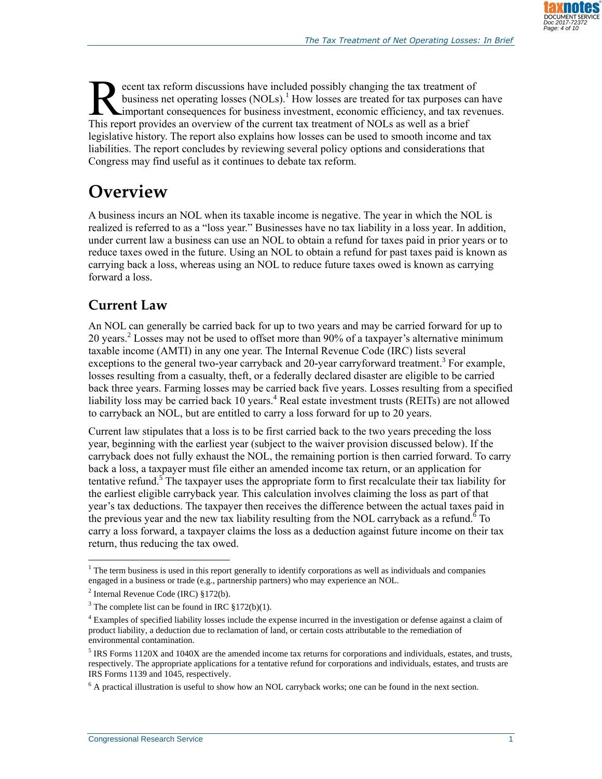

ecent tax reform discussions have included possibly changing the tax treatment of business net operating losses  $(NOLs)$ .<sup>1</sup> How losses are treated for tax purposes can have important consequences for business investment, economic efficiency, and tax revenues. External tax reform discussions have included possibly changing the tax treatment of business net operating losses (NOLs).<sup>1</sup> How losses are treated for tax purposes calc important consequences for business investment, eco legislative history. The report also explains how losses can be used to smooth income and tax liabilities. The report concludes by reviewing several policy options and considerations that Congress may find useful as it continues to debate tax reform.

## **Overview**

A business incurs an NOL when its taxable income is negative. The year in which the NOL is realized is referred to as a "loss year." Businesses have no tax liability in a loss year. In addition, under current law a business can use an NOL to obtain a refund for taxes paid in prior years or to reduce taxes owed in the future. Using an NOL to obtain a refund for past taxes paid is known as carrying back a loss, whereas using an NOL to reduce future taxes owed is known as carrying forward a loss.

## **Current Law**

An NOL can generally be carried back for up to two years and may be carried forward for up to 20 years.<sup>2</sup> Losses may not be used to offset more than 90% of a taxpayer's alternative minimum taxable income (AMTI) in any one year. The Internal Revenue Code (IRC) lists several exceptions to the general two-year carryback and 20-year carryforward treatment.<sup>3</sup> For example, losses resulting from a casualty, theft, or a federally declared disaster are eligible to be carried back three years. Farming losses may be carried back five years. Losses resulting from a specified liability loss may be carried back 10 years.<sup>4</sup> Real estate investment trusts (REITs) are not allowed to carryback an NOL, but are entitled to carry a loss forward for up to 20 years.

Current law stipulates that a loss is to be first carried back to the two years preceding the loss year, beginning with the earliest year (subject to the waiver provision discussed below). If the carryback does not fully exhaust the NOL, the remaining portion is then carried forward. To carry back a loss, a taxpayer must file either an amended income tax return, or an application for tentative refund.<sup>5</sup> The taxpayer uses the appropriate form to first recalculate their tax liability for the earliest eligible carryback year. This calculation involves claiming the loss as part of that year's tax deductions. The taxpayer then receives the difference between the actual taxes paid in the previous year and the new tax liability resulting from the NOL carryback as a refund.<sup> $\delta$ </sup> To carry a loss forward, a taxpayer claims the loss as a deduction against future income on their tax return, thus reducing the tax owed.

 $\overline{a}$  $<sup>1</sup>$  The term business is used in this report generally to identify corporations as well as individuals and companies</sup> engaged in a business or trade (e.g., partnership partners) who may experience an NOL.

 $2$  Internal Revenue Code (IRC)  $$172(b)$ .

<sup>&</sup>lt;sup>3</sup> The complete list can be found in IRC  $$172(b)(1)$ .

<sup>&</sup>lt;sup>4</sup> Examples of specified liability losses include the expense incurred in the investigation or defense against a claim of product liability, a deduction due to reclamation of land, or certain costs attributable to the remediation of environmental contamination.

 $<sup>5</sup>$  IRS Forms 1120X and 1040X are the amended income tax returns for corporations and individuals, estates, and trusts,</sup> respectively. The appropriate applications for a tentative refund for corporations and individuals, estates, and trusts are IRS Forms 1139 and 1045, respectively.

<sup>&</sup>lt;sup>6</sup> A practical illustration is useful to show how an NOL carryback works; one can be found in the next section.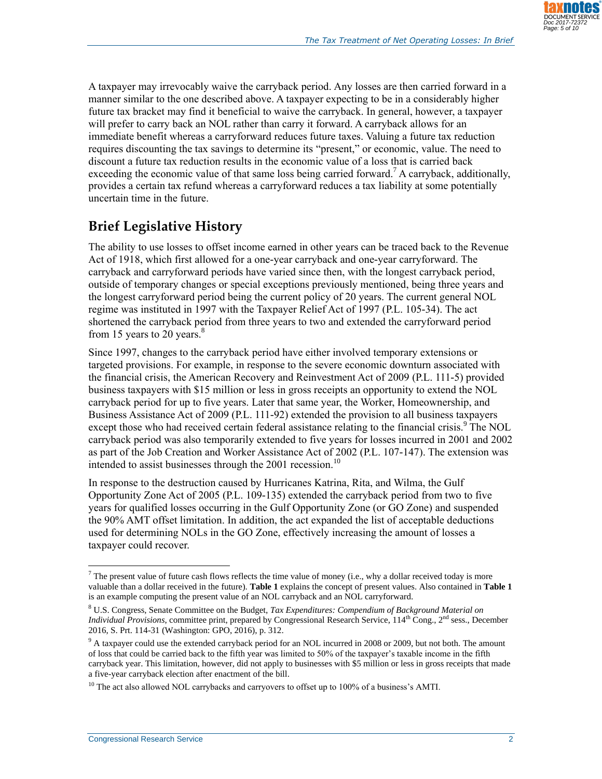

A taxpayer may irrevocably waive the carryback period. Any losses are then carried forward in a manner similar to the one described above. A taxpayer expecting to be in a considerably higher future tax bracket may find it beneficial to waive the carryback. In general, however, a taxpayer will prefer to carry back an NOL rather than carry it forward. A carryback allows for an immediate benefit whereas a carryforward reduces future taxes. Valuing a future tax reduction requires discounting the tax savings to determine its "present," or economic, value. The need to discount a future tax reduction results in the economic value of a loss that is carried back exceeding the economic value of that same loss being carried forward.<sup>7</sup> A carryback, additionally, provides a certain tax refund whereas a carryforward reduces a tax liability at some potentially uncertain time in the future.

## **Brief Legislative History**

The ability to use losses to offset income earned in other years can be traced back to the Revenue Act of 1918, which first allowed for a one-year carryback and one-year carryforward. The carryback and carryforward periods have varied since then, with the longest carryback period, outside of temporary changes or special exceptions previously mentioned, being three years and the longest carryforward period being the current policy of 20 years. The current general NOL regime was instituted in 1997 with the Taxpayer Relief Act of 1997 (P.L. 105-34). The act shortened the carryback period from three years to two and extended the carryforward period from 15 years to 20 years. $8$ 

Since 1997, changes to the carryback period have either involved temporary extensions or targeted provisions. For example, in response to the severe economic downturn associated with the financial crisis, the American Recovery and Reinvestment Act of 2009 [\(P.L. 111-5\)](http://www.congress.gov/cgi-lis/bdquery/R?d111:FLD002:@1(111+5)) provided business taxpayers with \$15 million or less in gross receipts an opportunity to extend the NOL carryback period for up to five years. Later that same year, the Worker, Homeownership, and Business Assistance Act of 2009 (P.L. 111-92) extended the provision to all business taxpayers except those who had received certain federal assistance relating to the financial crisis.<sup>9</sup> The NOL carryback period was also temporarily extended to five years for losses incurred in 2001 and 2002 as part of the Job Creation and Worker Assistance Act of 2002 [\(P.L. 107-147\)](http://www.congress.gov/cgi-lis/bdquery/R?d107:FLD002:@1(107+147)). The extension was intended to assist businesses through the 2001 recession.<sup>10</sup>

In response to the destruction caused by Hurricanes Katrina, Rita, and Wilma, the Gulf Opportunity Zone Act of 2005 (P.L. 109-135) extended the carryback period from two to five years for qualified losses occurring in the Gulf Opportunity Zone (or GO Zone) and suspended the 90% AMT offset limitation. In addition, the act expanded the list of acceptable deductions used for determining NOLs in the GO Zone, effectively increasing the amount of losses a taxpayer could recover.

 $\overline{a}$  $^7$  The present value of future cash flows reflects the time value of money (i.e., why a dollar received today is more valuable than a dollar received in the future). **[Table 1](#page-5-0)** explains the concept of present values. Also contained in **[Table 1](#page-5-0)** is an example computing the present value of an NOL carryback and an NOL carryforward.

<sup>8</sup> U.S. Congress, Senate Committee on the Budget, *Tax Expenditures: Compendium of Background Material on Individual Provisions*, committee print, prepared by Congressional Research Service, 114<sup>th</sup> Cong., 2<sup>nd</sup> sess., December 2016, S. Prt. 114-31 (Washington: GPO, 2016), p. 312.

<sup>&</sup>lt;sup>9</sup> A taxpayer could use the extended carryback period for an NOL incurred in 2008 or 2009, but not both. The amount of loss that could be carried back to the fifth year was limited to 50% of the taxpayer's taxable income in the fifth carryback year. This limitation, however, did not apply to businesses with \$5 million or less in gross receipts that made a five-year carryback election after enactment of the bill.

<sup>&</sup>lt;sup>10</sup> The act also allowed NOL carrybacks and carryovers to offset up to 100% of a business's AMTI.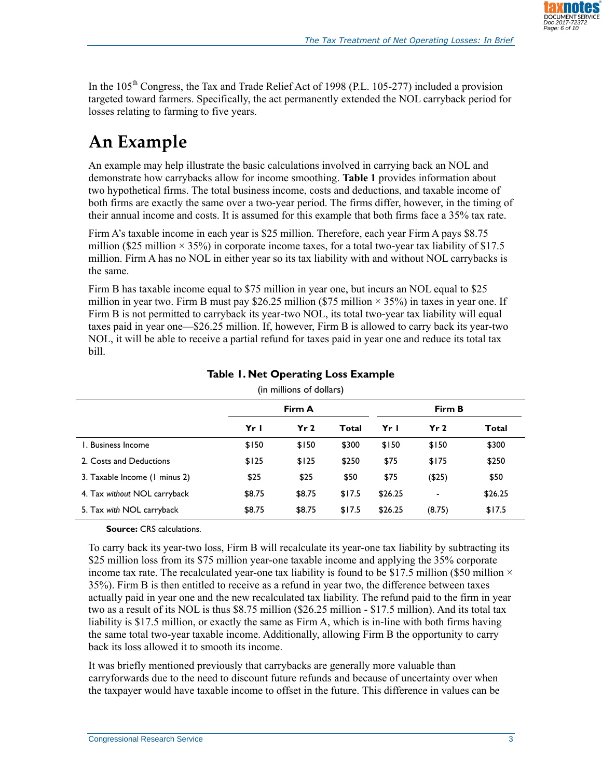

In the 105<sup>th</sup> Congress, the Tax and Trade Relief Act of 1998 [\(P.L. 105-277\)](http://www.congress.gov/cgi-lis/bdquery/R?d105:FLD002:@1(105+277)) included a provision targeted toward farmers. Specifically, the act permanently extended the NOL carryback period for losses relating to farming to five years.

## **An Example**

An example may help illustrate the basic calculations involved in carrying back an NOL and demonstrate how carrybacks allow for income smoothing. **[Table 1](#page-5-0)** provides information about two hypothetical firms. The total business income, costs and deductions, and taxable income of both firms are exactly the same over a two-year period. The firms differ, however, in the timing of their annual income and costs. It is assumed for this example that both firms face a 35% tax rate.

Firm A's taxable income in each year is \$25 million. Therefore, each year Firm A pays \$8.75 million (\$25 million  $\times$  35%) in corporate income taxes, for a total two-year tax liability of \$17.5 million. Firm A has no NOL in either year so its tax liability with and without NOL carrybacks is the same.

Firm B has taxable income equal to \$75 million in year one, but incurs an NOL equal to \$25 million in year two. Firm B must pay \$26.25 million (\$75 million  $\times$  35%) in taxes in year one. If Firm B is not permitted to carryback its year-two NOL, its total two-year tax liability will equal taxes paid in year one—\$26.25 million. If, however, Firm B is allowed to carry back its year-two NOL, it will be able to receive a partial refund for taxes paid in year one and reduce its total tax bill.

<span id="page-5-0"></span>

|                               |        |                 | Firm B |         |           |         |  |  |  |  |
|-------------------------------|--------|-----------------|--------|---------|-----------|---------|--|--|--|--|
|                               | Yr I   | Yr <sub>2</sub> | Total  | Yr I    | Yr 2      | Total   |  |  |  |  |
| 1. Business Income            | \$150  | \$150           | \$300  | \$150   | \$150     | \$300   |  |  |  |  |
| 2. Costs and Deductions       | \$125  | \$125           | \$250  | \$75    | \$175     | \$250   |  |  |  |  |
| 3. Taxable Income (1 minus 2) | \$25   | \$25            | \$50   | \$75    | $($ \$25) | \$50    |  |  |  |  |
| 4. Tax without NOL carryback  | \$8.75 | \$8.75          | \$17.5 | \$26.25 | -         | \$26.25 |  |  |  |  |
| 5. Tax with NOL carryback     | \$8.75 | \$8.75          | \$17.5 | \$26.25 | (8.75)    | \$17.5  |  |  |  |  |

#### **Table 1. Net Operating Loss Example**

(in millions of dollars)

#### **Source:** CRS calculations.

To carry back its year-two loss, Firm B will recalculate its year-one tax liability by subtracting its \$25 million loss from its \$75 million year-one taxable income and applying the 35% corporate income tax rate. The recalculated year-one tax liability is found to be \$17.5 million (\$50 million  $\times$ 35%). Firm B is then entitled to receive as a refund in year two, the difference between taxes actually paid in year one and the new recalculated tax liability. The refund paid to the firm in year two as a result of its NOL is thus \$8.75 million (\$26.25 million - \$17.5 million). And its total tax liability is \$17.5 million, or exactly the same as Firm A, which is in-line with both firms having the same total two-year taxable income. Additionally, allowing Firm B the opportunity to carry back its loss allowed it to smooth its income.

It was briefly mentioned previously that carrybacks are generally more valuable than carryforwards due to the need to discount future refunds and because of uncertainty over when the taxpayer would have taxable income to offset in the future. This difference in values can be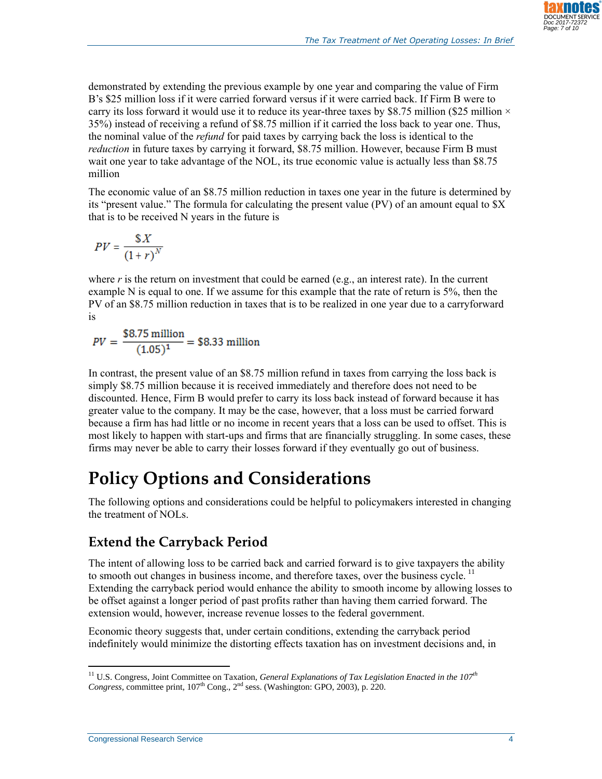

demonstrated by extending the previous example by one year and comparing the value of Firm B's \$25 million loss if it were carried forward versus if it were carried back. If Firm B were to carry its loss forward it would use it to reduce its year-three taxes by \$8.75 million (\$25 million  $\times$ 35%) instead of receiving a refund of \$8.75 million if it carried the loss back to year one. Thus, the nominal value of the *refund* for paid taxes by carrying back the loss is identical to the *reduction* in future taxes by carrying it forward, \$8.75 million. However, because Firm B must wait one year to take advantage of the NOL, its true economic value is actually less than \$8.75 million

The economic value of an \$8.75 million reduction in taxes one year in the future is determined by its "present value." The formula for calculating the present value (PV) of an amount equal to \$X that is to be received N years in the future is

$$
PV = \frac{\$X}{\left(1+r\right)^N}
$$

where  $r$  is the return on investment that could be earned (e.g., an interest rate). In the current example N is equal to one. If we assume for this example that the rate of return is 5%, then the PV of an \$8.75 million reduction in taxes that is to be realized in one year due to a carryforward is

$$
PV = \frac{$8.75 \text{ million}}{(1.05)^1} = $8.33 \text{ million}
$$

In contrast, the present value of an \$8.75 million refund in taxes from carrying the loss back is simply \$8.75 million because it is received immediately and therefore does not need to be discounted. Hence, Firm B would prefer to carry its loss back instead of forward because it has greater value to the company. It may be the case, however, that a loss must be carried forward because a firm has had little or no income in recent years that a loss can be used to offset. This is most likely to happen with start-ups and firms that are financially struggling. In some cases, these firms may never be able to carry their losses forward if they eventually go out of business.

## **Policy Options and Considerations**

The following options and considerations could be helpful to policymakers interested in changing the treatment of NOLs.

## **Extend the Carryback Period**

The intent of allowing loss to be carried back and carried forward is to give taxpayers the ability to smooth out changes in business income, and therefore taxes, over the business cycle.  $<sup>11</sup>$ </sup> Extending the carryback period would enhance the ability to smooth income by allowing losses to be offset against a longer period of past profits rather than having them carried forward. The extension would, however, increase revenue losses to the federal government.

Economic theory suggests that, under certain conditions, extending the carryback period indefinitely would minimize the distorting effects taxation has on investment decisions and, in

 $\overline{a}$ <sup>11</sup> U.S. Congress, Joint Committee on Taxation, *General Explanations of Tax Legislation Enacted in the 107th Congress,* committee print,  $107<sup>th</sup>$  Cong.,  $2<sup>nd</sup>$  sess. (Washington: GPO, 2003), p. 220.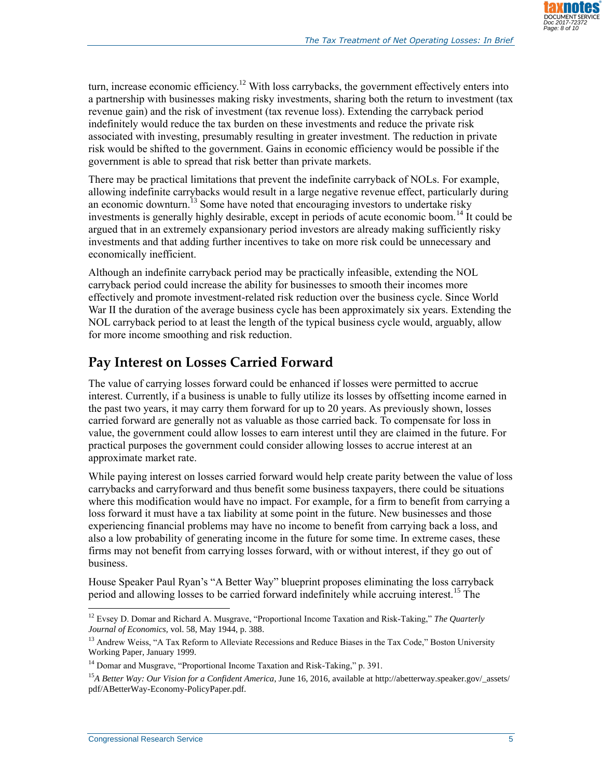

turn, increase economic efficiency.<sup>12</sup> With loss carrybacks, the government effectively enters into a partnership with businesses making risky investments, sharing both the return to investment (tax revenue gain) and the risk of investment (tax revenue loss). Extending the carryback period indefinitely would reduce the tax burden on these investments and reduce the private risk associated with investing, presumably resulting in greater investment. The reduction in private risk would be shifted to the government. Gains in economic efficiency would be possible if the government is able to spread that risk better than private markets.

There may be practical limitations that prevent the indefinite carryback of NOLs. For example, allowing indefinite carrybacks would result in a large negative revenue effect, particularly during an economic downturn.<sup>13</sup> Some have noted that encouraging investors to undertake risky investments is generally highly desirable, except in periods of acute economic boom.<sup>14</sup> It could be argued that in an extremely expansionary period investors are already making sufficiently risky investments and that adding further incentives to take on more risk could be unnecessary and economically inefficient.

Although an indefinite carryback period may be practically infeasible, extending the NOL carryback period could increase the ability for businesses to smooth their incomes more effectively and promote investment-related risk reduction over the business cycle. Since World War II the duration of the average business cycle has been approximately six years. Extending the NOL carryback period to at least the length of the typical business cycle would, arguably, allow for more income smoothing and risk reduction.

#### **Pay Interest on Losses Carried Forward**

The value of carrying losses forward could be enhanced if losses were permitted to accrue interest. Currently, if a business is unable to fully utilize its losses by offsetting income earned in the past two years, it may carry them forward for up to 20 years. As previously shown, losses carried forward are generally not as valuable as those carried back. To compensate for loss in value, the government could allow losses to earn interest until they are claimed in the future. For practical purposes the government could consider allowing losses to accrue interest at an approximate market rate.

While paying interest on losses carried forward would help create parity between the value of loss carrybacks and carryforward and thus benefit some business taxpayers, there could be situations where this modification would have no impact. For example, for a firm to benefit from carrying a loss forward it must have a tax liability at some point in the future. New businesses and those experiencing financial problems may have no income to benefit from carrying back a loss, and also a low probability of generating income in the future for some time. In extreme cases, these firms may not benefit from carrying losses forward, with or without interest, if they go out of business.

House Speaker Paul Ryan's "A Better Way" blueprint proposes eliminating the loss carryback period and allowing losses to be carried forward indefinitely while accruing interest.<sup>15</sup> The

 $\overline{a}$ <sup>12</sup> Evsey D. Domar and Richard A. Musgrave, "Proportional Income Taxation and Risk-Taking," *The Quarterly Journal of Economics,* vol. 58, May 1944, p. 388.

<sup>&</sup>lt;sup>13</sup> Andrew Weiss, "A Tax Reform to Alleviate Recessions and Reduce Biases in the Tax Code," Boston University Working Paper, January 1999.

<sup>&</sup>lt;sup>14</sup> Domar and Musgrave, "Proportional Income Taxation and Risk-Taking," p. 391.

<sup>&</sup>lt;sup>15</sup>A Better Way: Our Vision for a Confident America, June 16, 2016, available at http://abetterway.speaker.gov/\_assets/ pdf/ABetterWay-Economy-PolicyPaper.pdf.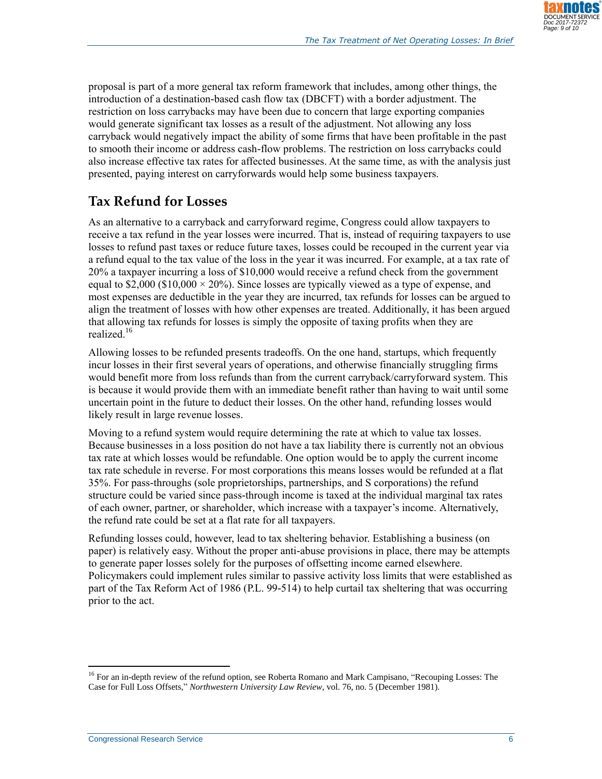

proposal is part of a more general tax reform framework that includes, among other things, the introduction of a destination-based cash flow tax (DBCFT) with a border adjustment. The restriction on loss carrybacks may have been due to concern that large exporting companies would generate significant tax losses as a result of the adjustment. Not allowing any loss carryback would negatively impact the ability of some firms that have been profitable in the past to smooth their income or address cash-flow problems. The restriction on loss carrybacks could also increase effective tax rates for affected businesses. At the same time, as with the analysis just presented, paying interest on carryforwards would help some business taxpayers.

## **Tax Refund for Losses**

As an alternative to a carryback and carryforward regime, Congress could allow taxpayers to receive a tax refund in the year losses were incurred. That is, instead of requiring taxpayers to use losses to refund past taxes or reduce future taxes, losses could be recouped in the current year via a refund equal to the tax value of the loss in the year it was incurred. For example, at a tax rate of 20% a taxpayer incurring a loss of \$10,000 would receive a refund check from the government equal to \$2,000 (\$10,000  $\times$  20%). Since losses are typically viewed as a type of expense, and most expenses are deductible in the year they are incurred, tax refunds for losses can be argued to align the treatment of losses with how other expenses are treated. Additionally, it has been argued that allowing tax refunds for losses is simply the opposite of taxing profits when they are realized. 16

Allowing losses to be refunded presents tradeoffs. On the one hand, startups, which frequently incur losses in their first several years of operations, and otherwise financially struggling firms would benefit more from loss refunds than from the current carryback/carryforward system. This is because it would provide them with an immediate benefit rather than having to wait until some uncertain point in the future to deduct their losses. On the other hand, refunding losses would likely result in large revenue losses.

Moving to a refund system would require determining the rate at which to value tax losses. Because businesses in a loss position do not have a tax liability there is currently not an obvious tax rate at which losses would be refundable. One option would be to apply the current income tax rate schedule in reverse. For most corporations this means losses would be refunded at a flat 35%. For pass-throughs (sole proprietorships, partnerships, and S corporations) the refund structure could be varied since pass-through income is taxed at the individual marginal tax rates of each owner, partner, or shareholder, which increase with a taxpayer's income. Alternatively, the refund rate could be set at a flat rate for all taxpayers.

Refunding losses could, however, lead to tax sheltering behavior. Establishing a business (on paper) is relatively easy. Without the proper anti-abuse provisions in place, there may be attempts to generate paper losses solely for the purposes of offsetting income earned elsewhere. Policymakers could implement rules similar to passive activity loss limits that were established as part of the Tax Reform Act of 1986 [\(P.L. 99-514\)](http://www.congress.gov/cgi-lis/bdquery/R?d099:FLD002:@1(99+514)) to help curtail tax sheltering that was occurring prior to the act.

 $\overline{a}$ 

<sup>&</sup>lt;sup>16</sup> For an in-depth review of the refund option, see Roberta Romano and Mark Campisano, "Recouping Losses: The Case for Full Loss Offsets," *Northwestern University Law Review*, vol. 76, no. 5 (December 1981).